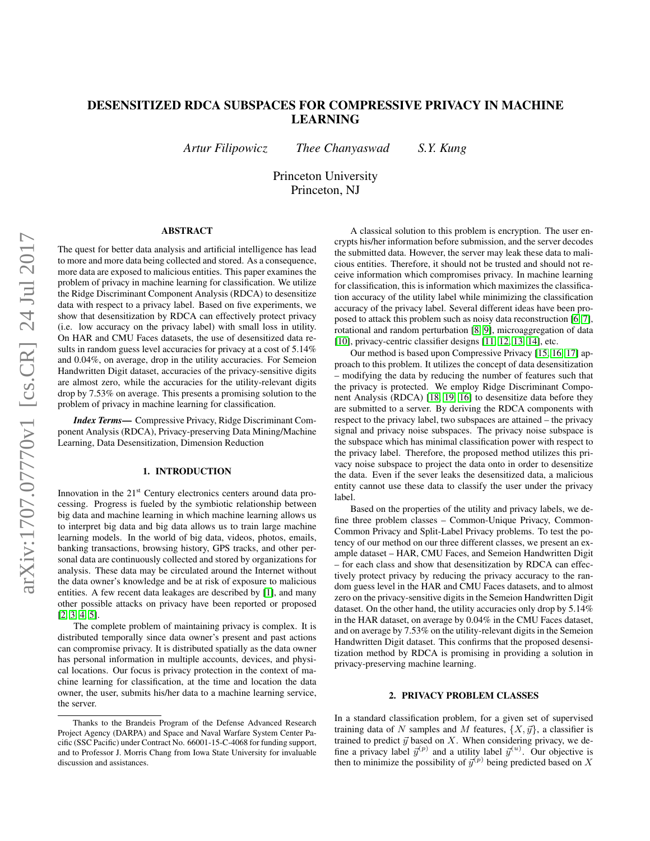# DESENSITIZED RDCA SUBSPACES FOR COMPRESSIVE PRIVACY IN MACHINE LEARNING

*Artur Filipowicz Thee Chanyaswad S.Y. Kung*

Princeton University Princeton, NJ

## ABSTRACT

The quest for better data analysis and artificial intelligence has lead to more and more data being collected and stored. As a consequence, more data are exposed to malicious entities. This paper examines the problem of privacy in machine learning for classification. We utilize the Ridge Discriminant Component Analysis (RDCA) to desensitize data with respect to a privacy label. Based on five experiments, we show that desensitization by RDCA can effectively protect privacy (i.e. low accuracy on the privacy label) with small loss in utility. On HAR and CMU Faces datasets, the use of desensitized data results in random guess level accuracies for privacy at a cost of 5.14% and 0.04%, on average, drop in the utility accuracies. For Semeion Handwritten Digit dataset, accuracies of the privacy-sensitive digits are almost zero, while the accuracies for the utility-relevant digits drop by 7.53% on average. This presents a promising solution to the problem of privacy in machine learning for classification.

*Index Terms*— Compressive Privacy, Ridge Discriminant Component Analysis (RDCA), Privacy-preserving Data Mining/Machine Learning, Data Desensitization, Dimension Reduction

### 1. INTRODUCTION

Innovation in the 21<sup>st</sup> Century electronics centers around data processing. Progress is fueled by the symbiotic relationship between big data and machine learning in which machine learning allows us to interpret big data and big data allows us to train large machine learning models. In the world of big data, videos, photos, emails, banking transactions, browsing history, GPS tracks, and other personal data are continuously collected and stored by organizations for analysis. These data may be circulated around the Internet without the data owner's knowledge and be at risk of exposure to malicious entities. A few recent data leakages are described by [\[1\]](#page-3-0), and many other possible attacks on privacy have been reported or proposed [\[2,](#page-3-1) [3,](#page-4-0) [4,](#page-4-1) [5\]](#page-4-2).

The complete problem of maintaining privacy is complex. It is distributed temporally since data owner's present and past actions can compromise privacy. It is distributed spatially as the data owner has personal information in multiple accounts, devices, and physical locations. Our focus is privacy protection in the context of machine learning for classification, at the time and location the data owner, the user, submits his/her data to a machine learning service, the server.

A classical solution to this problem is encryption. The user encrypts his/her information before submission, and the server decodes the submitted data. However, the server may leak these data to malicious entities. Therefore, it should not be trusted and should not receive information which compromises privacy. In machine learning for classification, this is information which maximizes the classification accuracy of the utility label while minimizing the classification accuracy of the privacy label. Several different ideas have been proposed to attack this problem such as noisy data reconstruction [\[6,](#page-4-3) [7\]](#page-4-4), rotational and random perturbation [\[8,](#page-4-5) [9\]](#page-4-6), microaggregation of data [\[10\]](#page-4-7), privacy-centric classifier designs [\[11,](#page-4-8) [12,](#page-4-9) [13,](#page-4-10) [14\]](#page-4-11), etc.

Our method is based upon Compressive Privacy [\[15,](#page-4-12) [16,](#page-4-13) [17\]](#page-4-14) approach to this problem. It utilizes the concept of data desensitization – modifying the data by reducing the number of features such that the privacy is protected. We employ Ridge Discriminant Component Analysis (RDCA) [\[18,](#page-4-15) [19,](#page-4-16) [16\]](#page-4-13) to desensitize data before they are submitted to a server. By deriving the RDCA components with respect to the privacy label, two subspaces are attained – the privacy signal and privacy noise subspaces. The privacy noise subspace is the subspace which has minimal classification power with respect to the privacy label. Therefore, the proposed method utilizes this privacy noise subspace to project the data onto in order to desensitize the data. Even if the sever leaks the desensitized data, a malicious entity cannot use these data to classify the user under the privacy label.

Based on the properties of the utility and privacy labels, we define three problem classes – Common-Unique Privacy, Common-Common Privacy and Split-Label Privacy problems. To test the potency of our method on our three different classes, we present an example dataset – HAR, CMU Faces, and Semeion Handwritten Digit – for each class and show that desensitization by RDCA can effectively protect privacy by reducing the privacy accuracy to the random guess level in the HAR and CMU Faces datasets, and to almost zero on the privacy-sensitive digits in the Semeion Handwritten Digit dataset. On the other hand, the utility accuracies only drop by 5.14% in the HAR dataset, on average by 0.04% in the CMU Faces dataset, and on average by 7.53% on the utility-relevant digits in the Semeion Handwritten Digit dataset. This confirms that the proposed desensitization method by RDCA is promising in providing a solution in privacy-preserving machine learning.

### 2. PRIVACY PROBLEM CLASSES

In a standard classification problem, for a given set of supervised training data of N samples and M features,  $\{X, \vec{y}\}\)$ , a classifier is trained to predict  $\vec{y}$  based on X. When considering privacy, we define a privacy label  $\vec{y}^{(p)}$  and a utility label  $\vec{y}^{(u)}$ . Our objective is then to minimize the possibility of  $\vec{y}^{(p)}$  being predicted based on X

Thanks to the Brandeis Program of the Defense Advanced Research Project Agency (DARPA) and Space and Naval Warfare System Center Pacific (SSC Pacific) under Contract No. 66001-15-C-4068 for funding support, and to Professor J. Morris Chang from Iowa State University for invaluable discussion and assistances.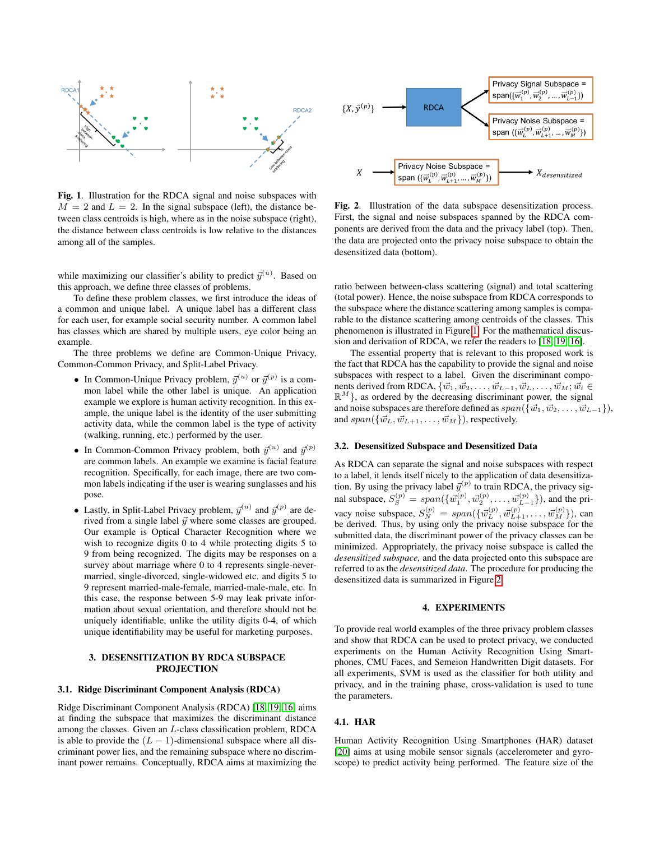

<span id="page-1-0"></span>Fig. 1. Illustration for the RDCA signal and noise subspaces with  $M = 2$  and  $L = 2$ . In the signal subspace (left), the distance between class centroids is high, where as in the noise subspace (right), the distance between class centroids is low relative to the distances among all of the samples.

while maximizing our classifier's ability to predict  $\vec{y}^{(u)}$ . Based on this approach, we define three classes of problems.

To define these problem classes, we first introduce the ideas of a common and unique label. A unique label has a different class for each user, for example social security number. A common label has classes which are shared by multiple users, eye color being an example.

The three problems we define are Common-Unique Privacy, Common-Common Privacy, and Split-Label Privacy.

- In Common-Unique Privacy problem,  $\vec{y}^{(u)}$  or  $\vec{y}^{(p)}$  is a common label while the other label is unique. An application example we explore is human activity recognition. In this example, the unique label is the identity of the user submitting activity data, while the common label is the type of activity (walking, running, etc.) performed by the user.
- In Common-Common Privacy problem, both  $\vec{y}^{(u)}$  and  $\vec{y}^{(p)}$ are common labels. An example we examine is facial feature recognition. Specifically, for each image, there are two common labels indicating if the user is wearing sunglasses and his pose.
- Lastly, in Split-Label Privacy problem,  $\vec{y}^{(u)}$  and  $\vec{y}^{(p)}$  are derived from a single label  $\vec{y}$  where some classes are grouped. Our example is Optical Character Recognition where we wish to recognize digits 0 to 4 while protecting digits 5 to 9 from being recognized. The digits may be responses on a survey about marriage where 0 to 4 represents single-nevermarried, single-divorced, single-widowed etc. and digits 5 to 9 represent married-male-female, married-male-male, etc. In this case, the response between 5-9 may leak private information about sexual orientation, and therefore should not be uniquely identifiable, unlike the utility digits 0-4, of which unique identifiability may be useful for marketing purposes.

### 3. DESENSITIZATION BY RDCA SUBSPACE PROJECTION

## 3.1. Ridge Discriminant Component Analysis (RDCA)

Ridge Discriminant Component Analysis (RDCA) [\[18,](#page-4-15) [19,](#page-4-16) [16\]](#page-4-13) aims at finding the subspace that maximizes the discriminant distance among the classes. Given an L-class classification problem, RDCA is able to provide the  $(L - 1)$ -dimensional subspace where all discriminant power lies, and the remaining subspace where no discriminant power remains. Conceptually, RDCA aims at maximizing the



<span id="page-1-1"></span>Fig. 2. Illustration of the data subspace desensitization process. First, the signal and noise subspaces spanned by the RDCA components are derived from the data and the privacy label (top). Then, the data are projected onto the privacy noise subspace to obtain the desensitized data (bottom).

ratio between between-class scattering (signal) and total scattering (total power). Hence, the noise subspace from RDCA corresponds to the subspace where the distance scattering among samples is comparable to the distance scattering among centroids of the classes. This phenomenon is illustrated in Figure [1.](#page-1-0) For the mathematical discussion and derivation of RDCA, we refer the readers to [\[18,](#page-4-15) [19,](#page-4-16) [16\]](#page-4-13).

The essential property that is relevant to this proposed work is the fact that RDCA has the capability to provide the signal and noise subspaces with respect to a label. Given the discriminant components derived from RDCA,  $\{\vec{w}_1, \vec{w}_2, \ldots, \vec{w}_{L-1}, \vec{w}_L, \ldots, \vec{w}_M; \vec{w}_i \in$  $\mathbb{R}^{M}$ }, as ordered by the decreasing discriminant power, the signal and noise subspaces are therefore defined as  $span({\{\vec{w}_1,\vec{w}_2,\ldots,\vec{w}_{L-1}\}})$ , and  $span({\{\vec{w}_L, \vec{w}_{L+1}, \dots, \vec{w}_M\}})$ , respectively.

### 3.2. Desensitized Subspace and Desensitized Data

As RDCA can separate the signal and noise subspaces with respect to a label, it lends itself nicely to the application of data desensitization. By using the privacy label  $\vec{y}^{(p)}$  to train RDCA, the privacy signal subspace,  $S_S^{(p)} = span(\{\vec{w}_1^{(p)}, \vec{w}_2^{(p)}, \dots, \vec{w}_{L-1}^{(p)}\})$ , and the privacy noise subspace,  $S_N^{(p)} = span(\{\vec{w}_L^{(p)}, \vec{w}_{L+1}^{(p)}, \dots, \vec{w}_M^{(p)}\})$ , can be derived. Thus, by using only the privacy noise subspace for the submitted data, the discriminant power of the privacy classes can be minimized. Appropriately, the privacy noise subspace is called the *desensitized subspace,* and the data projected onto this subspace are referred to as the *desensitized data*. The procedure for producing the desensitized data is summarized in Figure [2.](#page-1-1)

#### 4. EXPERIMENTS

To provide real world examples of the three privacy problem classes and show that RDCA can be used to protect privacy, we conducted experiments on the Human Activity Recognition Using Smartphones, CMU Faces, and Semeion Handwritten Digit datasets. For all experiments, SVM is used as the classifier for both utility and privacy, and in the training phase, cross-validation is used to tune the parameters.

#### 4.1. HAR

Human Activity Recognition Using Smartphones (HAR) dataset [\[20\]](#page-4-17) aims at using mobile sensor signals (accelerometer and gyroscope) to predict activity being performed. The feature size of the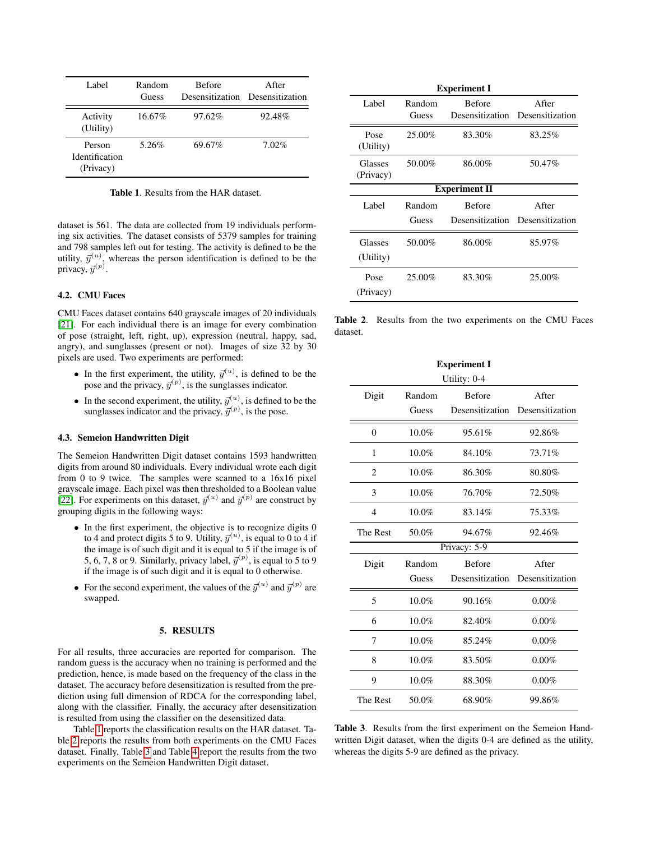| Label.                                       | Random<br>Guess | <b>Before</b> | After<br>Desensitization Desensitization |
|----------------------------------------------|-----------------|---------------|------------------------------------------|
| Activity<br>(Utility)                        | 16.67%          | 97.62%        | 92.48%                                   |
| Person<br><b>Identification</b><br>(Privacy) | 5.26%           | 69.67%        | $7.02\%$                                 |

<span id="page-2-0"></span>Table 1. Results from the HAR dataset.

dataset is 561. The data are collected from 19 individuals performing six activities. The dataset consists of 5379 samples for training and 798 samples left out for testing. The activity is defined to be the utility,  $\vec{y}^{(u)}$ , whereas the person identification is defined to be the privacy,  $\vec{y}^{(p)}$ .

# 4.2. CMU Faces

CMU Faces dataset contains 640 grayscale images of 20 individuals [\[21\]](#page-4-18). For each individual there is an image for every combination of pose (straight, left, right, up), expression (neutral, happy, sad, angry), and sunglasses (present or not). Images of size 32 by 30 pixels are used. Two experiments are performed:

- In the first experiment, the utility,  $\vec{y}^{(u)}$ , is defined to be the pose and the privacy,  $\vec{y}^{(p)}$ , is the sunglasses indicator.
- In the second experiment, the utility,  $\vec{y}^{(u)}$ , is defined to be the sunglasses indicator and the privacy,  $\vec{y}^{(p)}$ , is the pose.

## 4.3. Semeion Handwritten Digit

The Semeion Handwritten Digit dataset contains 1593 handwritten digits from around 80 individuals. Every individual wrote each digit from 0 to 9 twice. The samples were scanned to a 16x16 pixel grayscale image. Each pixel was then thresholded to a Boolean value [\[22\]](#page-4-19). For experiments on this dataset,  $\vec{y}^{(u)}$  and  $\vec{y}^{(p)}$  are construct by grouping digits in the following ways:

- In the first experiment, the objective is to recognize digits 0 to 4 and protect digits 5 to 9. Utility,  $\vec{y}^{(u)}$ , is equal to 0 to 4 if the image is of such digit and it is equal to 5 if the image is of 5, 6, 7, 8 or 9. Similarly, privacy label,  $\vec{y}^{(p)}$ , is equal to 5 to 9 if the image is of such digit and it is equal to 0 otherwise.
- For the second experiment, the values of the  $\vec{y}^{(u)}$  and  $\vec{y}^{(p)}$  are swapped.

## 5. RESULTS

For all results, three accuracies are reported for comparison. The random guess is the accuracy when no training is performed and the prediction, hence, is made based on the frequency of the class in the dataset. The accuracy before desensitization is resulted from the prediction using full dimension of RDCA for the corresponding label, along with the classifier. Finally, the accuracy after desensitization is resulted from using the classifier on the desensitized data.

Table [1](#page-2-0) reports the classification results on the HAR dataset. Table [2](#page-2-1) reports the results from both experiments on the CMU Faces dataset. Finally, Table [3](#page-2-2) and Table [4](#page-3-2) report the results from the two experiments on the Semeion Handwritten Digit dataset.

| <b>Experiment I</b>  |                 |               |                                          |  |  |
|----------------------|-----------------|---------------|------------------------------------------|--|--|
| Label                | Random<br>Guess | <b>Before</b> | After<br>Desensitization Desensitization |  |  |
| Pose<br>(Utility)    | 25.00%          | 83.30%        | 83.25%                                   |  |  |
| Glasses<br>(Privacy) | 50.00%          | 86.00%        | 50.47%                                   |  |  |
| <b>Experiment II</b> |                 |               |                                          |  |  |
| Label                | Random<br>Guess | <b>Before</b> | After<br>Desensitization Desensitization |  |  |
| Glasses<br>(Utility) | 50.00%          | 86.00%        | 85.97%                                   |  |  |
| Pose<br>(Privacy)    | 25.00%          | 83.30%        | 25.00%                                   |  |  |

<span id="page-2-1"></span>Table 2. Results from the two experiments on the CMU Faces dataset.

| <b>Experiment I</b> |              |                 |                 |  |  |  |
|---------------------|--------------|-----------------|-----------------|--|--|--|
|                     | Utility: 0-4 |                 |                 |  |  |  |
| Digit               | Random       | <b>Before</b>   | After           |  |  |  |
|                     | Guess        | Desensitization | Desensitization |  |  |  |
| $\overline{0}$      | 10.0%        | 95.61%          | 92.86%          |  |  |  |
| 1                   | 10.0%        | 84.10%          | 73.71%          |  |  |  |
| $\overline{2}$      | $10.0\%$     | 86.30%          | 80.80%          |  |  |  |
| 3                   | $10.0\%$     | 76.70%          | 72.50%          |  |  |  |
| $\overline{4}$      | $10.0\%$     | 83.14%          | 75.33%          |  |  |  |
| The Rest            | 50.0%        | 94.67%          | 92.46%          |  |  |  |
|                     |              | Privacy: 5-9    |                 |  |  |  |
| Digit               | Random       | <b>Before</b>   | After           |  |  |  |
|                     | Guess        | Desensitization | Desensitization |  |  |  |
| 5                   | 10.0%        | 90.16%          | 0.00%           |  |  |  |
| 6                   | 10.0%        | 82.40%          | $0.00\%$        |  |  |  |
| 7                   | $10.0\%$     | 85.24%          | $0.00\%$        |  |  |  |
| 8                   | 10.0%        | 83.50%          | $0.00\%$        |  |  |  |
| 9                   | 10.0%        | 88.30%          | $0.00\%$        |  |  |  |
| The Rest            | 50.0%        | 68.90%          | 99.86%          |  |  |  |

<span id="page-2-2"></span>Table 3. Results from the first experiment on the Semeion Handwritten Digit dataset, when the digits 0-4 are defined as the utility, whereas the digits 5-9 are defined as the privacy.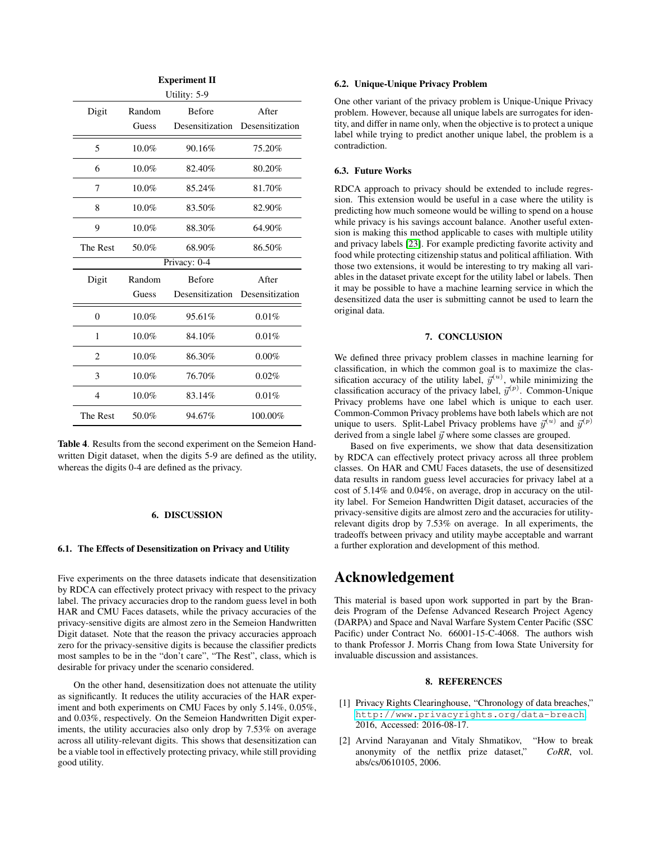| <b>Experiment II</b> |          |                 |                 |  |  |
|----------------------|----------|-----------------|-----------------|--|--|
|                      |          | Utility: 5-9    |                 |  |  |
| Digit                | Random   | <b>Before</b>   | After           |  |  |
|                      | Guess    | Desensitization | Desensitization |  |  |
| 5                    | $10.0\%$ | 90.16%          | 75.20%          |  |  |
| 6                    | 10.0%    | 82.40%          | 80.20%          |  |  |
| 7                    | 10.0%    | 85.24%          | 81.70%          |  |  |
| 8                    | $10.0\%$ | 83.50%          | 82.90%          |  |  |
| 9                    | $10.0\%$ | 88.30%          | 64.90%          |  |  |
| The Rest             | 50.0%    | 68.90%          | 86.50%          |  |  |
|                      |          | Privacy: 0-4    |                 |  |  |
| Digit                | Random   | <b>Before</b>   | After           |  |  |
|                      | Guess    | Desensitization | Desensitization |  |  |
| $\overline{0}$       | $10.0\%$ | 95.61%          | 0.01%           |  |  |
| 1                    | 10.0%    | 84.10%          | 0.01%           |  |  |
| $\overline{c}$       | $10.0\%$ | 86.30%          | $0.00\%$        |  |  |
| 3                    | 10.0%    | 76.70%          | 0.02%           |  |  |
| $\overline{4}$       | 10.0%    | 83.14%          | 0.01%           |  |  |
| The Rest             | 50.0%    | 94.67%          | 100.00%         |  |  |

<span id="page-3-2"></span>Table 4. Results from the second experiment on the Semeion Handwritten Digit dataset, when the digits 5-9 are defined as the utility, whereas the digits 0-4 are defined as the privacy.

## 6. DISCUSSION

#### 6.1. The Effects of Desensitization on Privacy and Utility

Five experiments on the three datasets indicate that desensitization by RDCA can effectively protect privacy with respect to the privacy label. The privacy accuracies drop to the random guess level in both HAR and CMU Faces datasets, while the privacy accuracies of the privacy-sensitive digits are almost zero in the Semeion Handwritten Digit dataset. Note that the reason the privacy accuracies approach zero for the privacy-sensitive digits is because the classifier predicts most samples to be in the "don't care", "The Rest", class, which is desirable for privacy under the scenario considered.

On the other hand, desensitization does not attenuate the utility as significantly. It reduces the utility accuracies of the HAR experiment and both experiments on CMU Faces by only 5.14%, 0.05%, and 0.03%, respectively. On the Semeion Handwritten Digit experiments, the utility accuracies also only drop by 7.53% on average across all utility-relevant digits. This shows that desensitization can be a viable tool in effectively protecting privacy, while still providing good utility.

#### 6.2. Unique-Unique Privacy Problem

One other variant of the privacy problem is Unique-Unique Privacy problem. However, because all unique labels are surrogates for identity, and differ in name only, when the objective is to protect a unique label while trying to predict another unique label, the problem is a contradiction.

### 6.3. Future Works

RDCA approach to privacy should be extended to include regression. This extension would be useful in a case where the utility is predicting how much someone would be willing to spend on a house while privacy is his savings account balance. Another useful extension is making this method applicable to cases with multiple utility and privacy labels [\[23\]](#page-4-20). For example predicting favorite activity and food while protecting citizenship status and political affiliation. With those two extensions, it would be interesting to try making all variables in the dataset private except for the utility label or labels. Then it may be possible to have a machine learning service in which the desensitized data the user is submitting cannot be used to learn the original data.

## 7. CONCLUSION

We defined three privacy problem classes in machine learning for classification, in which the common goal is to maximize the classification accuracy of the utility label,  $\vec{y}^{(u)}$ , while minimizing the classification accuracy of the privacy label,  $\vec{y}^{(p)}$ . Common-Unique Privacy problems have one label which is unique to each user. Common-Common Privacy problems have both labels which are not unique to users. Split-Label Privacy problems have  $\vec{y}^{(u)}$  and  $\vec{y}^{(p)}$ derived from a single label  $\vec{y}$  where some classes are grouped.

Based on five experiments, we show that data desensitization by RDCA can effectively protect privacy across all three problem classes. On HAR and CMU Faces datasets, the use of desensitized data results in random guess level accuracies for privacy label at a cost of 5.14% and 0.04%, on average, drop in accuracy on the utility label. For Semeion Handwritten Digit dataset, accuracies of the privacy-sensitive digits are almost zero and the accuracies for utilityrelevant digits drop by 7.53% on average. In all experiments, the tradeoffs between privacy and utility maybe acceptable and warrant a further exploration and development of this method.

# Acknowledgement

This material is based upon work supported in part by the Brandeis Program of the Defense Advanced Research Project Agency (DARPA) and Space and Naval Warfare System Center Pacific (SSC Pacific) under Contract No. 66001-15-C-4068. The authors wish to thank Professor J. Morris Chang from Iowa State University for invaluable discussion and assistances.

### 8. REFERENCES

- <span id="page-3-0"></span>[1] Privacy Rights Clearinghouse, "Chronology of data breaches," <http://www.privacyrights.org/data-breach>, 2016, Accessed: 2016-08-17.
- <span id="page-3-1"></span>[2] Arvind Narayanan and Vitaly Shmatikov, "How to break anonymity of the netflix prize dataset," *CoRR*, vol. abs/cs/0610105, 2006.